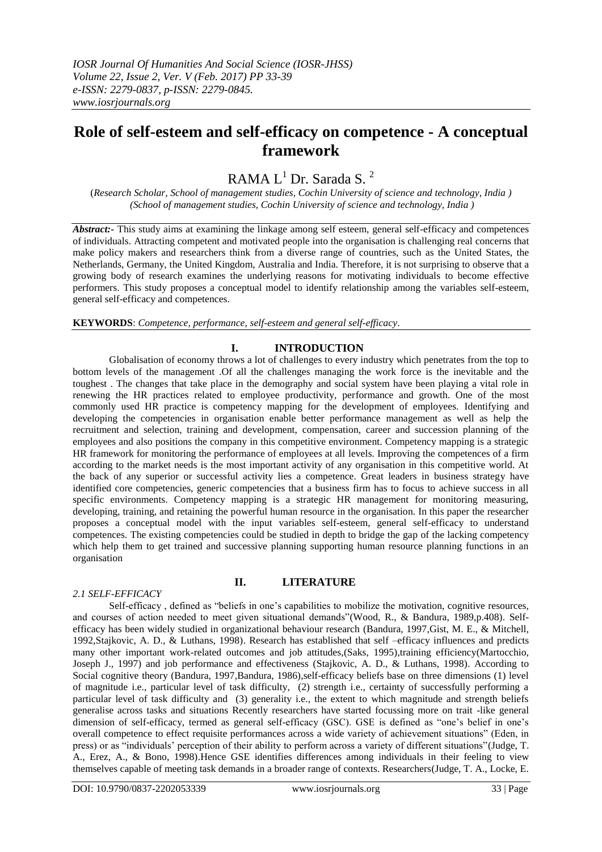# **Role of self-esteem and self-efficacy on competence - A conceptual framework**

# RAMA  $L^1$  Dr. Sarada S.<sup>2</sup>

(*Research Scholar, School of management studies, Cochin University of science and technology, India ) (School of management studies, Cochin University of science and technology, India )*

*Abstract:-* This study aims at examining the linkage among self esteem, general self-efficacy and competences of individuals. Attracting competent and motivated people into the organisation is challenging real concerns that make policy makers and researchers think from a diverse range of countries, such as the United States, the Netherlands, Germany, the United Kingdom, Australia and India. Therefore, it is not surprising to observe that a growing body of research examines the underlying reasons for motivating individuals to become effective performers. This study proposes a conceptual model to identify relationship among the variables self-esteem, general self-efficacy and competences.

**KEYWORDS**: *Competence, performance, self-esteem and general self-efficacy*.

# **I. INTRODUCTION**

Globalisation of economy throws a lot of challenges to every industry which penetrates from the top to bottom levels of the management .Of all the challenges managing the work force is the inevitable and the toughest . The changes that take place in the demography and social system have been playing a vital role in renewing the HR practices related to employee productivity, performance and growth. One of the most commonly used HR practice is competency mapping for the development of employees. Identifying and developing the competencies in organisation enable better performance management as well as help the recruitment and selection, training and development, compensation, career and succession planning of the employees and also positions the company in this competitive environment. Competency mapping is a strategic HR framework for monitoring the performance of employees at all levels. Improving the competences of a firm according to the market needs is the most important activity of any organisation in this competitive world. At the back of any superior or successful activity lies a competence. Great leaders in business strategy have identified core competencies, generic competencies that a business firm has to focus to achieve success in all specific environments. Competency mapping is a strategic HR management for monitoring measuring, developing, training, and retaining the powerful human resource in the organisation. In this paper the researcher proposes a conceptual model with the input variables self-esteem, general self-efficacy to understand competences. The existing competencies could be studied in depth to bridge the gap of the lacking competency which help them to get trained and successive planning supporting human resource planning functions in an organisation

#### *2.1 SELF-EFFICACY*

## **II. LITERATURE**

Self-efficacy, defined as "beliefs in one's capabilities to mobilize the motivation, cognitive resources, and courses of action needed to meet given situational demands"(Wood, R., & Bandura, 1989,p.408). Selfefficacy has been widely studied in organizational behaviour research (Bandura, 1997,Gist, M. E., & Mitchell, 1992,Stajkovic, A. D., & Luthans, 1998). Research has established that self –efficacy influences and predicts many other important work-related outcomes and job attitudes,(Saks, 1995),training efficiency(Martocchio, Joseph J., 1997) and job performance and effectiveness (Stajkovic, A. D., & Luthans, 1998). According to Social cognitive theory (Bandura, 1997,Bandura, 1986),self-efficacy beliefs base on three dimensions (1) level of magnitude i.e., particular level of task difficulty, (2) strength i.e., certainty of successfully performing a particular level of task difficulty and (3) generality i.e., the extent to which magnitude and strength beliefs generalise across tasks and situations Recently researchers have started focussing more on trait -like general dimension of self-efficacy, termed as general self-efficacy (GSC). GSE is defined as "one's belief in one's overall competence to effect requisite performances across a wide variety of achievement situations" (Eden, in press) or as "individuals' perception of their ability to perform across a variety of different situations"(Judge, T. A., Erez, A., & Bono, 1998).Hence GSE identifies differences among individuals in their feeling to view themselves capable of meeting task demands in a broader range of contexts. Researchers(Judge, T. A., Locke, E.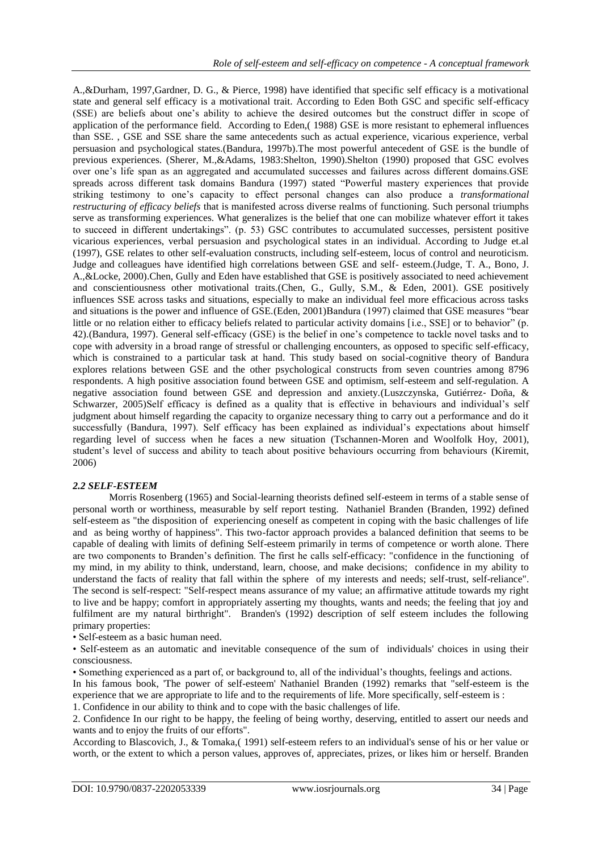A.,&Durham, 1997,Gardner, D. G., & Pierce, 1998) have identified that specific self efficacy is a motivational state and general self efficacy is a motivational trait. According to Eden Both GSC and specific self-efficacy (SSE) are beliefs about one's ability to achieve the desired outcomes but the construct differ in scope of application of the performance field. According to Eden,( 1988) GSE is more resistant to ephemeral influences than SSE. , GSE and SSE share the same antecedents such as actual experience, vicarious experience, verbal persuasion and psychological states.(Bandura, 1997b).The most powerful antecedent of GSE is the bundle of previous experiences. (Sherer, M.,&Adams, 1983:Shelton, 1990).Shelton (1990) proposed that GSC evolves over one's life span as an aggregated and accumulated successes and failures across different domains.GSE spreads across different task domains Bandura (1997) stated "Powerful mastery experiences that provide striking testimony to one's capacity to effect personal changes can also produce a *transformational restructuring of efficacy beliefs* that is manifested across diverse realms of functioning. Such personal triumphs serve as transforming experiences. What generalizes is the belief that one can mobilize whatever effort it takes to succeed in different undertakings". (p. 53) GSC contributes to accumulated successes, persistent positive vicarious experiences, verbal persuasion and psychological states in an individual. According to Judge et.al (1997), GSE relates to other self-evaluation constructs, including self-esteem, locus of control and neuroticism. Judge and colleagues have identified high correlations between GSE and self- esteem.(Judge, T. A., Bono, J. A.,&Locke, 2000).Chen, Gully and Eden have established that GSE is positively associated to need achievement and conscientiousness other motivational traits.(Chen, G., Gully, S.M., & Eden, 2001). GSE positively influences SSE across tasks and situations, especially to make an individual feel more efficacious across tasks and situations is the power and influence of GSE.(Eden, 2001)Bandura (1997) claimed that GSE measures "bear little or no relation either to efficacy beliefs related to particular activity domains [i.e., SSE] or to behavior" (p. 42).(Bandura, 1997). General self-efficacy (GSE) is the belief in one's competence to tackle novel tasks and to cope with adversity in a broad range of stressful or challenging encounters, as opposed to specific self-efficacy, which is constrained to a particular task at hand. This study based on social-cognitive theory of Bandura explores relations between GSE and the other psychological constructs from seven countries among 8796 respondents. A high positive association found between GSE and optimism, self-esteem and self-regulation. A negative association found between GSE and depression and anxiety.(Luszczynska, Gutiérrez‐ Doña, & Schwarzer, 2005)Self efficacy is defined as a quality that is effective in behaviours and individual's self judgment about himself regarding the capacity to organize necessary thing to carry out a performance and do it successfully (Bandura, 1997). Self efficacy has been explained as individual's expectations about himself regarding level of success when he faces a new situation (Tschannen-Moren and Woolfolk Hoy, 2001), student's level of success and ability to teach about positive behaviours occurring from behaviours (Kiremit, 2006)

#### *2.2 SELF-ESTEEM*

Morris Rosenberg (1965) and Social-learning theorists defined self-esteem in terms of a stable sense of personal worth or worthiness, measurable by self report testing. Nathaniel Branden (Branden, 1992) defined self-esteem as "the disposition of experiencing oneself as competent in coping with the basic challenges of life and as being worthy of happiness". This two-factor approach provides a balanced definition that seems to be capable of dealing with limits of defining Self-esteem primarily in terms of competence or worth alone. There are two components to Branden's definition. The first he calls self-efficacy: "confidence in the functioning of my mind, in my ability to think, understand, learn, choose, and make decisions; confidence in my ability to understand the facts of reality that fall within the sphere of my interests and needs; self-trust, self-reliance". The second is self-respect: "Self-respect means assurance of my value; an affirmative attitude towards my right to live and be happy; comfort in appropriately asserting my thoughts, wants and needs; the feeling that joy and fulfilment are my natural birthright". Branden's (1992) description of self esteem includes the following primary properties:

• Self-esteem as a basic human need.

• Self-esteem as an automatic and inevitable consequence of the sum of individuals' choices in using their consciousness.

• Something experienced as a part of, or background to, all of the individual's thoughts, feelings and actions. In his famous book, 'The power of self-esteem' Nathaniel Branden (1992) remarks that "self-esteem is the experience that we are appropriate to life and to the requirements of life. More specifically, self-esteem is :

1. Confidence in our ability to think and to cope with the basic challenges of life. 2. Confidence In our right to be happy, the feeling of being worthy, deserving, entitled to assert our needs and

wants and to enjoy the fruits of our efforts".

According to Blascovich, J., & Tomaka,( 1991) self-esteem refers to an individual's sense of his or her value or worth, or the extent to which a person values, approves of, appreciates, prizes, or likes him or herself. Branden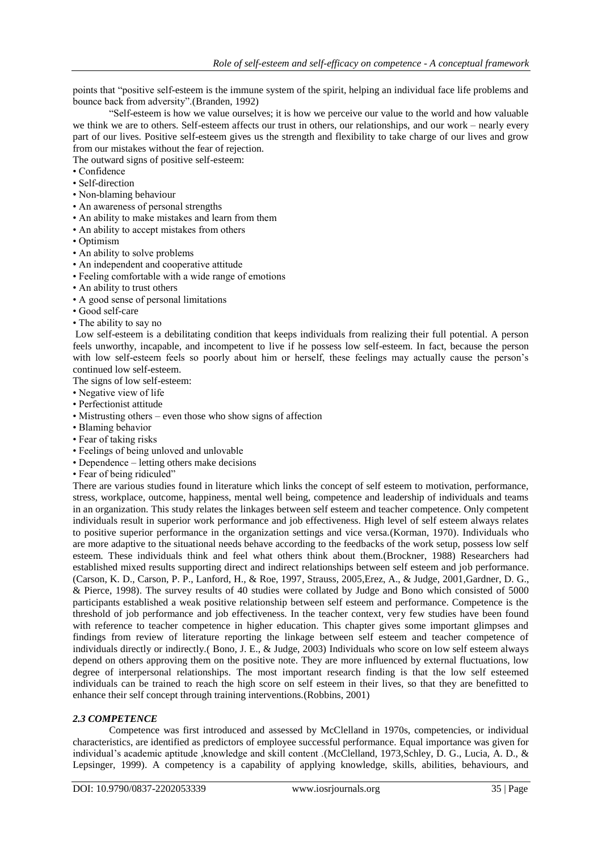points that "positive self-esteem is the immune system of the spirit, helping an individual face life problems and bounce back from adversity".(Branden, 1992)

―Self-esteem is how we value ourselves; it is how we perceive our value to the world and how valuable we think we are to others. Self-esteem affects our trust in others, our relationships, and our work – nearly every part of our lives. Positive self-esteem gives us the strength and flexibility to take charge of our lives and grow from our mistakes without the fear of rejection.

The outward signs of positive self-esteem:

- Confidence
- Self-direction
- Non-blaming behaviour
- An awareness of personal strengths
- An ability to make mistakes and learn from them
- An ability to accept mistakes from others
- Optimism
- An ability to solve problems
- An independent and cooperative attitude
- Feeling comfortable with a wide range of emotions
- An ability to trust others
- A good sense of personal limitations
- Good self-care
- The ability to say no

Low self-esteem is a debilitating condition that keeps individuals from realizing their full potential. A person feels unworthy, incapable, and incompetent to live if he possess low self-esteem. In fact, because the person with low self-esteem feels so poorly about him or herself, these feelings may actually cause the person's continued low self-esteem.

The signs of low self-esteem:

- Negative view of life
- Perfectionist attitude
- Mistrusting others even those who show signs of affection
- Blaming behavior
- Fear of taking risks
- Feelings of being unloved and unlovable
- Dependence letting others make decisions
- Fear of being ridiculed"

There are various studies found in literature which links the concept of self esteem to motivation, performance, stress, workplace, outcome, happiness, mental well being, competence and leadership of individuals and teams in an organization. This study relates the linkages between self esteem and teacher competence. Only competent individuals result in superior work performance and job effectiveness. High level of self esteem always relates to positive superior performance in the organization settings and vice versa.(Korman, 1970). Individuals who are more adaptive to the situational needs behave according to the feedbacks of the work setup, possess low self esteem. These individuals think and feel what others think about them.(Brockner, 1988) Researchers had established mixed results supporting direct and indirect relationships between self esteem and job performance. (Carson, K. D., Carson, P. P., Lanford, H., & Roe, 1997, Strauss, 2005,Erez, A., & Judge, 2001,Gardner, D. G., & Pierce, 1998). The survey results of 40 studies were collated by Judge and Bono which consisted of 5000 participants established a weak positive relationship between self esteem and performance. Competence is the threshold of job performance and job effectiveness. In the teacher context, very few studies have been found with reference to teacher competence in higher education. This chapter gives some important glimpses and findings from review of literature reporting the linkage between self esteem and teacher competence of individuals directly or indirectly.( Bono, J. E., & Judge, 2003) Individuals who score on low self esteem always depend on others approving them on the positive note. They are more influenced by external fluctuations, low degree of interpersonal relationships. The most important research finding is that the low self esteemed individuals can be trained to reach the high score on self esteem in their lives, so that they are benefitted to enhance their self concept through training interventions.(Robbins, 2001)

## *2.3 COMPETENCE*

Competence was first introduced and assessed by McClelland in 1970s, competencies, or individual characteristics, are identified as predictors of employee successful performance. Equal importance was given for individual's academic aptitude ,knowledge and skill content .(McClelland, 1973,Schley, D. G., Lucia, A. D., & Lepsinger, 1999). A competency is a capability of applying knowledge, skills, abilities, behaviours, and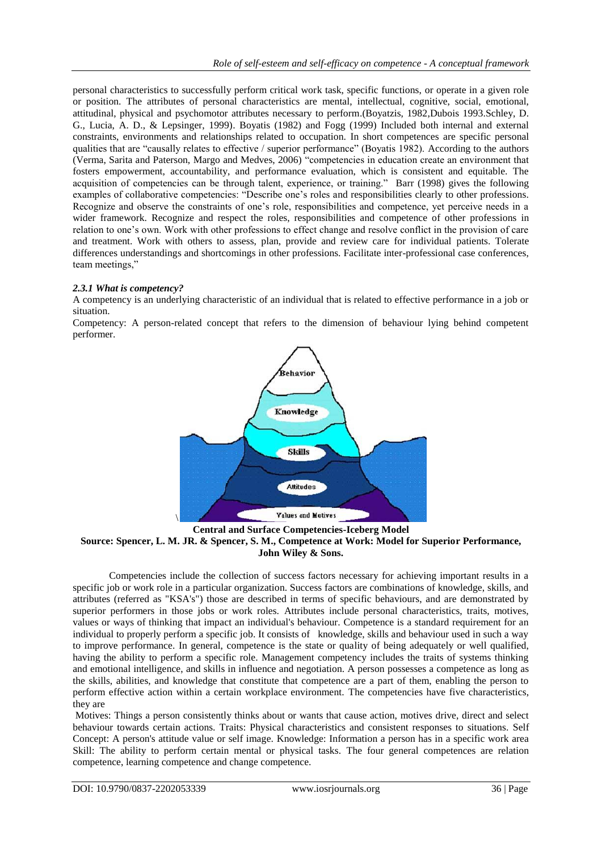personal characteristics to successfully perform critical work task, specific functions, or operate in a given role or position. The attributes of personal characteristics are mental, intellectual, cognitive, social, emotional, attitudinal, physical and psychomotor attributes necessary to perform.(Boyatzis, 1982,Dubois 1993.Schley, D. G., Lucia, A. D., & Lepsinger, 1999). Boyatis (1982) and Fogg (1999) Included both internal and external constraints, environments and relationships related to occupation. In short competences are specific personal qualities that are "causally relates to effective / superior performance" (Boyatis 1982). According to the authors (Verma, Sarita and Paterson, Margo and Medves, 2006) "competencies in education create an environment that fosters empowerment, accountability, and performance evaluation, which is consistent and equitable. The acquisition of competencies can be through talent, experience, or training." Barr (1998) gives the following examples of collaborative competencies: "Describe one's roles and responsibilities clearly to other professions. Recognize and observe the constraints of one's role, responsibilities and competence, yet perceive needs in a wider framework. Recognize and respect the roles, responsibilities and competence of other professions in relation to one's own. Work with other professions to effect change and resolve conflict in the provision of care and treatment. Work with others to assess, plan, provide and review care for individual patients. Tolerate differences understandings and shortcomings in other professions. Facilitate inter-professional case conferences, team meetings."

#### *2.3.1 What is competency?*

A competency is an underlying characteristic of an individual that is related to effective performance in a job or situation.

Competency: A person-related concept that refers to the dimension of behaviour lying behind competent performer.



**Central and Surface Competencies-Iceberg Model**

#### **Source: Spencer, L. M. JR. & Spencer, S. M., Competence at Work: Model for Superior Performance, John Wiley & Sons.**

Competencies include the collection of success factors necessary for achieving important results in a specific job or work role in a particular organization. Success factors are combinations of knowledge, skills, and attributes (referred as "KSA's") those are described in terms of specific behaviours, and are demonstrated by superior performers in those jobs or work roles. Attributes include personal characteristics, traits, motives, values or ways of thinking that impact an individual's behaviour. Competence is a standard requirement for an individual to properly perform a specific job. It consists of knowledge, skills and behaviour used in such a way to improve performance. In general, competence is the state or quality of being adequately or well qualified, having the ability to perform a specific role. Management competency includes the traits of systems thinking and emotional intelligence, and skills in influence and negotiation. A person possesses a competence as long as the skills, abilities, and knowledge that constitute that competence are a part of them, enabling the person to perform effective action within a certain workplace environment. The competencies have five characteristics, they are

Motives: Things a person consistently thinks about or wants that cause action, motives drive, direct and select behaviour towards certain actions. Traits: Physical characteristics and consistent responses to situations. Self Concept: A person's attitude value or self image. Knowledge: Information a person has in a specific work area Skill: The ability to perform certain mental or physical tasks. The four general competences are relation competence, learning competence and change competence.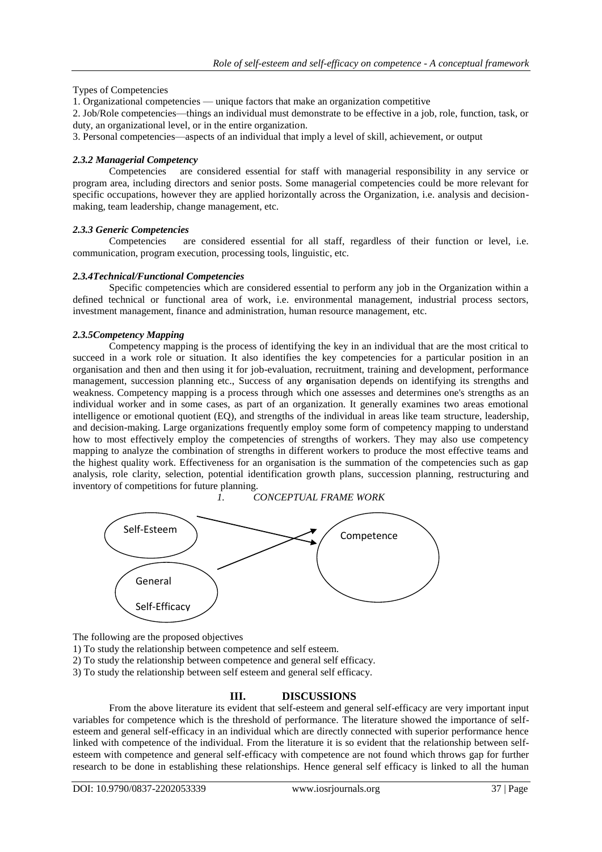#### Types of Competencies

1. Organizational competencies — unique factors that make an organization competitive

2. Job/Role competencies—things an individual must demonstrate to be effective in a job, role, function, task, or duty, an organizational level, or in the entire organization.

3. Personal competencies—aspects of an individual that imply a level of skill, achievement, or output

#### *2.3.2 Managerial Competency*

Competencies are considered essential for staff with managerial responsibility in any service or program area, including directors and senior posts. Some managerial competencies could be more relevant for specific occupations, however they are applied horizontally across the Organization, i.e. analysis and decisionmaking, team leadership, change management, etc.

#### *2.3.3 Generic Competencies*

Competencies are considered essential for all staff, regardless of their function or level, i.e. communication, program execution, processing tools, linguistic, etc.

#### *2.3.4Technical/Functional Competencies*

Specific competencies which are considered essential to perform any job in the Organization within a defined technical or functional area of work, i.e. environmental management, industrial process sectors, investment management, finance and administration, human resource management, etc.

#### *2.3.5Competency Mapping*

Competency mapping is the process of identifying the key in an individual that are the most critical to succeed in a work role or situation. It also identifies the key competencies for a particular position in an organisation and then and then using it for job-evaluation, recruitment, training and development, performance management, succession planning etc., Success of any **o**rganisation depends on identifying its strengths and weakness. Competency mapping is a process through which one assesses and determines one's strengths as an individual worker and in some cases, as part of an organization. It generally examines two areas emotional intelligence or emotional quotient (EQ), and strengths of the individual in areas like team structure, leadership, and decision-making. Large organizations frequently employ some form of competency mapping to understand how to most effectively employ the competencies of strengths of workers. They may also use competency mapping to analyze the combination of strengths in different workers to produce the most effective teams and the highest quality work. Effectiveness for an organisation is the summation of the competencies such as gap analysis, role clarity, selection, potential identification growth plans, succession planning, restructuring and inventory of competitions for future planning.

*1. CONCEPTUAL FRAME WORK*



The following are the proposed objectives

1) To study the relationship between competence and self esteem.

2) To study the relationship between competence and general self efficacy.

3) To study the relationship between self esteem and general self efficacy.

## **III. DISCUSSIONS**

From the above literature its evident that self-esteem and general self-efficacy are very important input variables for competence which is the threshold of performance. The literature showed the importance of selfesteem and general self-efficacy in an individual which are directly connected with superior performance hence linked with competence of the individual. From the literature it is so evident that the relationship between selfesteem with competence and general self-efficacy with competence are not found which throws gap for further research to be done in establishing these relationships. Hence general self efficacy is linked to all the human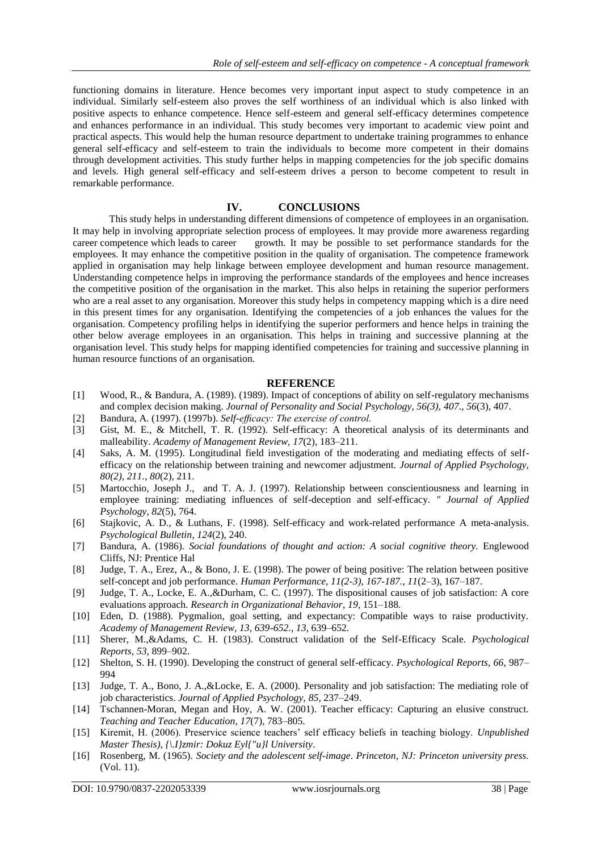functioning domains in literature. Hence becomes very important input aspect to study competence in an individual. Similarly self-esteem also proves the self worthiness of an individual which is also linked with positive aspects to enhance competence. Hence self-esteem and general self-efficacy determines competence and enhances performance in an individual. This study becomes very important to academic view point and practical aspects. This would help the human resource department to undertake training programmes to enhance general self-efficacy and self-esteem to train the individuals to become more competent in their domains through development activities. This study further helps in mapping competencies for the job specific domains and levels. High general self-efficacy and self-esteem drives a person to become competent to result in remarkable performance.

#### **IV. CONCLUSIONS**

This study helps in understanding different dimensions of competence of employees in an organisation. It may help in involving appropriate selection process of employees. lt may provide more awareness regarding career competence which leads to career growth. It may be possible to set performance standards for the employees. It may enhance the competitive position in the quality of organisation. The competence framework applied in organisation may help linkage between employee development and human resource management. Understanding competence helps in improving the performance standards of the employees and hence increases the competitive position of the organisation in the market. This also helps in retaining the superior performers who are a real asset to any organisation. Moreover this study helps in competency mapping which is a dire need in this present times for any organisation. Identifying the competencies of a job enhances the values for the organisation. Competency profiling helps in identifying the superior performers and hence helps in training the other below average employees in an organisation. This helps in training and successive planning at the organisation level. This study helps for mapping identified competencies for training and successive planning in human resource functions of an organisation.

#### **REFERENCE**

- [1] Wood, R., & Bandura, A. (1989). (1989). Impact of conceptions of ability on self-regulatory mechanisms and complex decision making. *Journal of Personality and Social Psychology, 56(3), 407.*, *56*(3), 407.
- [2] Bandura, A. (1997). (1997b). *Self-efficacy: The exercise of control.*
- [3] Gist, M. E., & Mitchell, T. R. (1992). Self-efficacy: A theoretical analysis of its determinants and malleability. *Academy of Management Review, 17*(2), 183–211.
- [4] Saks, A. M. (1995). Longitudinal field investigation of the moderating and mediating effects of selfefficacy on the relationship between training and newcomer adjustment. *Journal of Applied Psychology, 80(2), 211.*, *80*(2), 211.
- [5] Martocchio, Joseph J., and T. A. J. (1997). Relationship between conscientiousness and learning in employee training: mediating influences of self-deception and self-efficacy. *" Journal of Applied Psychology*, *82*(5), 764.
- [6] Stajkovic, A. D., & Luthans, F. (1998). Self-efficacy and work-related performance A meta-analysis. *Psychological Bulletin*, *124*(2), 240.
- [7] Bandura, A. (1986). *Social foundations of thought and action: A social cognitive theory.* Englewood Cliffs, NJ: Prentice Hal
- [8] Judge, T. A., Erez, A., & Bono, J. E. (1998). The power of being positive: The relation between positive self-concept and job performance. *Human Performance, 11(2-3), 167-187.*, *11*(2–3), 167–187.
- [9] Judge, T. A., Locke, E. A.,&Durham, C. C. (1997). The dispositional causes of job satisfaction: A core evaluations approach. *Research in Organizational Behavior*, *19*, 151–188.
- [10] Eden, D. (1988). Pygmalion, goal setting, and expectancy: Compatible ways to raise productivity. *Academy of Management Review, 13, 639-652.*, *13*, 639–652.
- [11] Sherer, M.,&Adams, C. H. (1983). Construct validation of the Self-Efficacy Scale. *Psychological Reports*, *53*, 899–902.
- [12] Shelton, S. H. (1990). Developing the construct of general self-efficacy. *Psychological Reports, 66*, 987– 994
- [13] Judge, T. A., Bono, J. A.,&Locke, E. A. (2000). Personality and job satisfaction: The mediating role of job characteristics. *Journal of Applied Psychology, 85*, 237–249.
- [14] Tschannen-Moran, Megan and Hoy, A. W. (2001). Teacher efficacy: Capturing an elusive construct. *Teaching and Teacher Education*, *17*(7), 783–805.
- [15] Kiremit, H. (2006). Preservice science teachers' self efficacy beliefs in teaching biology. *Unpublished Master Thesis), {\.I}zmir: Dokuz Eyl{"u}l University*.
- [16] Rosenberg, M. (1965). *Society and the adolescent self-image*. *Princeton, NJ: Princeton university press.* (Vol. 11).